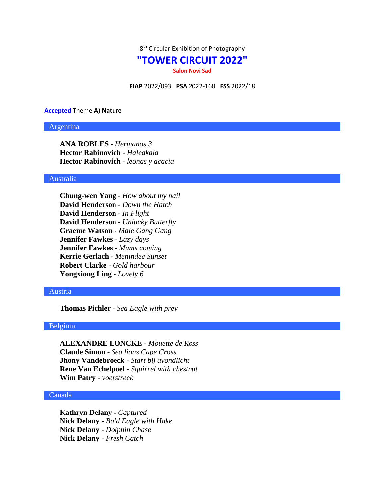

# **"TOWER CIRCUIT 2022"**

**Salon Novi Sad**

**FIAP** 2022/093 **PSA** 2022-168 **FSS** 2022/18

#### **Accepted** Theme **A) Nature**

#### Argentina

**ANA ROBLES** - *Hermanos 3* **Hector Rabinovich** - *Haleakala* **Hector Rabinovich** - *leonas y acacia*

# Australia

**Chung-wen Yang** - *How about my nail* **David Henderson** - *Down the Hatch* **David Henderson** - *In Flight* **David Henderson** - *Unlucky Butterfly* **Graeme Watson** - *Male Gang Gang* **Jennifer Fawkes** - *Lazy days* **Jennifer Fawkes** - *Mums coming* **Kerrie Gerlach** - *Menindee Sunset* **Robert Clarke** - *Gold harbour* **Yongxiong Ling** - *Lovely 6*

#### Austria

**Thomas Pichler** - *Sea Eagle with prey*

# Belgium

**ALEXANDRE LONCKE** - *Mouette de Ross* **Claude Simon** - *Sea lions Cape Cross* **Jhony Vandebroeck** - *Start bij avondlicht* **Rene Van Echelpoel** - *Squirrel with chestnut* **Wim Patry** - *voerstreek*

# Canada

**Kathryn Delany** - *Captured* **Nick Delany** - *Bald Eagle with Hake* **Nick Delany** - *Dolphin Chase* **Nick Delany** - *Fresh Catch*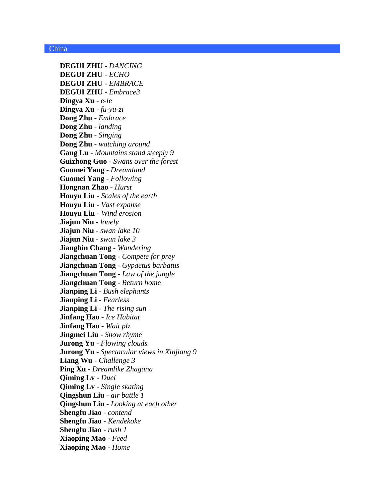# China

**DEGUI ZHU** - *DANCING* **DEGUI ZHU** - *ECHO* **DEGUI ZHU** - *EMBRACE* **DEGUI ZHU** - *Embrace3* **Dingya Xu** - *e-le* **Dingya Xu** - *fu-yu-zi* **Dong Zhu** - *Embrace* **Dong Zhu** - *landing* **Dong Zhu** - *Singing* **Dong Zhu** - *watching around* **Gang Lu** - *Mountains stand steeply 9* **Guizhong Guo** - *Swans over the forest* **Guomei Yang** - *Dreamland* **Guomei Yang** - *Following* **Hongnan Zhao** - *Hurst* **Houyu Liu** - *Scales of the earth* **Houyu Liu** - *Vast expanse* **Houyu Liu** - *Wind erosion* **Jiajun Niu** - *lonely* **Jiajun Niu** - *swan lake 10* **Jiajun Niu** - *swan lake 3* **Jiangbin Chang** - *Wandering* **Jiangchuan Tong** - *Compete for prey* **Jiangchuan Tong** - *Gypaetus barbatus* **Jiangchuan Tong** - *Law of the jungle* **Jiangchuan Tong** - *Return home* **Jianping Li** - *Bush elephants* **Jianping Li** - *Fearless* **Jianping Li** - *The rising sun* **Jinfang Hao** - *Ice Habitat* **Jinfang Hao** - *Wait plz* **Jingmei Liu** - *Snow rhyme* **Jurong Yu** - *Flowing clouds* **Jurong Yu** - *Spectacular views in Xinjiang 9* **Liang Wu** - *Challenge 3* **Ping Xu** - *Dreamlike Zhagana* **Qiming Lv** - *Duel* **Qiming Lv** - *Single skating* **Qingshun Liu** - *air battle 1* **Qingshun Liu** - *Looking at each other* **Shengfu Jiao** - *contend* **Shengfu Jiao** - *Kendekoke* **Shengfu Jiao** - *rush 1* **Xiaoping Mao** - *Feed* **Xiaoping Mao** - *Home*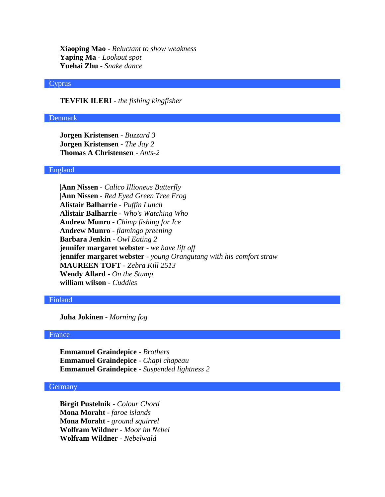**Xiaoping Mao** - *Reluctant to show weakness* **Yaping Ma** - *Lookout spot* **Yuehai Zhu** - *Snake dance*

# Cyprus

**TEVFIK ILERI** - *the fishing kingfisher*

#### Denmark

**Jorgen Kristensen** - *Buzzard 3* **Jorgen Kristensen** - *The Jay 2* **Thomas A Christensen** - *Ants-2*

# England

**|Ann Nissen** - *Calico Illioneus Butterfly* **|Ann Nissen** - *Red Eyed Green Tree Frog* **Alistair Balharrie** - *Puffin Lunch* **Alistair Balharrie** - *Who's Watching Who* **Andrew Munro** - *Chimp fishing for Ice* **Andrew Munro** - *flamingo preening* **Barbara Jenkin** - *Owl Eating 2* **jennifer margaret webster** - *we have lift off* **jennifer margaret webster** - *young Orangutang with his comfort straw* **MAUREEN TOFT** - *Zebra Kill 2513* **Wendy Allard** - *On the Stump* **william wilson** - *Cuddles*

# Finland

**Juha Jokinen** - *Morning fog*

# France

**Emmanuel Graindepice** - *Brothers* **Emmanuel Graindepice** - *Chapi chapeau* **Emmanuel Graindepice** - *Suspended lightness 2*

# **Germany**

**Birgit Pustelnik** - *Colour Chord* **Mona Moraht** - *faroe islands* **Mona Moraht** - *ground squirrel* **Wolfram Wildner** - *Moor im Nebel* **Wolfram Wildner** - *Nebelwald*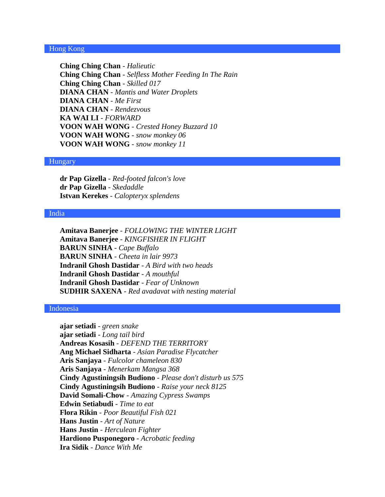# Hong Kong

**Ching Ching Chan** - *Halieutic* **Ching Ching Chan** - *Selfless Mother Feeding In The Rain* **Ching Ching Chan** - *Skilled 017* **DIANA CHAN** - *Mantis and Water Droplets* **DIANA CHAN** - *Me First* **DIANA CHAN** - *Rendezvous* **KA WAI LI** - *FORWARD* **VOON WAH WONG** - *Crested Honey Buzzard 10* **VOON WAH WONG** - *snow monkey 06* **VOON WAH WONG** - *snow monkey 11*

# Hungary

**dr Pap Gizella** - *Red-footed falcon's love* **dr Pap Gizella** - *Skedaddle* **Istvan Kerekes** - *Calopteryx splendens*

#### India

**Amitava Banerjee** - *FOLLOWING THE WINTER LIGHT* **Amitava Banerjee** - *KINGFISHER IN FLIGHT* **BARUN SINHA** - *Cape Buffalo* **BARUN SINHA** - *Cheeta in lair 9973* **Indranil Ghosh Dastidar** - *A Bird with two heads* **Indranil Ghosh Dastidar** - *A mouthful* **Indranil Ghosh Dastidar** - *Fear of Unknown* **SUDHIR SAXENA** - *Red avadavat with nesting material*

#### Indonesia

**ajar setiadi** - *green snake* **ajar setiadi** - *Long tail bird* **Andreas Kosasih** - *DEFEND THE TERRITORY* **Ang Michael Sidharta** - *Asian Paradise Flycatcher* **Aris Sanjaya** - *Fulcolor chameleon 830* **Aris Sanjaya** - *Menerkam Mangsa 368* **Cindy Agustiningsih Budiono** - *Please don't disturb us 575* **Cindy Agustiningsih Budiono** - *Raise your neck 8125* **David Somali-Chow** - *Amazing Cypress Swamps* **Edwin Setiabudi** - *Time to eat* **Flora Rikin** - *Poor Beautiful Fish 021* **Hans Justin** - *Art of Nature* **Hans Justin** - *Herculean Fighter* **Hardiono Pusponegoro** - *Acrobatic feeding* **Ira Sidik** - *Dance With Me*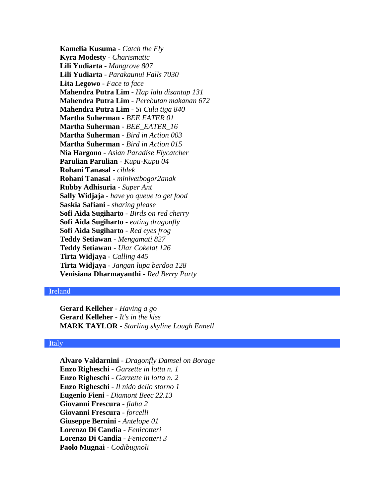**Kamelia Kusuma** - *Catch the Fly* **Kyra Modesty** - *Charismatic* **Lili Yudiarta** - *Mangrove 807* **Lili Yudiarta** - *Parakaunui Falls 7030* **Lita Legowo** - *Face to face* **Mahendra Putra Lim** - *Hap lalu disantap 131* **Mahendra Putra Lim** - *Perebutan makanan 672* **Mahendra Putra Lim** - *Si Cula tiga 840* **Martha Suherman** - *BEE EATER 01* **Martha Suherman** - *BEE\_EATER\_16* **Martha Suherman** - *Bird in Action 003* **Martha Suherman** - *Bird in Action 015* **Nia Hargono** - *Asian Paradise Flycatcher* **Parulian Parulian** - *Kupu-Kupu 04* **Rohani Tanasal** - *ciblek* **Rohani Tanasal** - *minivetbogor2anak* **Rubby Adhisuria** - *Super Ant* **Sally Widjaja** - *have yo queue to get food* **Saskia Safiani** - *sharing please* **Sofi Aida Sugiharto** - *Birds on red cherry* **Sofi Aida Sugiharto** - *eating dragonfly* **Sofi Aida Sugiharto** - *Red eyes frog* **Teddy Setiawan** - *Mengamati 827* **Teddy Setiawan** - *Ular Cokelat 126* **Tirta Widjaya** - *Calling 445* **Tirta Widjaya** - *Jangan lupa berdoa 128* **Venisiana Dharmayanthi** - *Red Berry Party*

# Ireland

**Gerard Kelleher** - *Having a go* **Gerard Kelleher** - *It's in the kiss* **MARK TAYLOR** - *Starling skyline Lough Ennell*

### Italy

**Alvaro Valdarnini** - *Dragonfly Damsel on Borage* **Enzo Righeschi** - *Garzette in lotta n. 1* **Enzo Righeschi** - *Garzette in lotta n. 2* **Enzo Righeschi** - *Il nido dello storno 1* **Eugenio Fieni** - *Diamont Beec 22.13* **Giovanni Frescura** - *fiaba 2* **Giovanni Frescura** - *forcelli* **Giuseppe Bernini** - *Antelope 01* **Lorenzo Di Candia** - *Fenicotteri* **Lorenzo Di Candia** - *Fenicotteri 3* **Paolo Mugnai** - *Codibugnoli*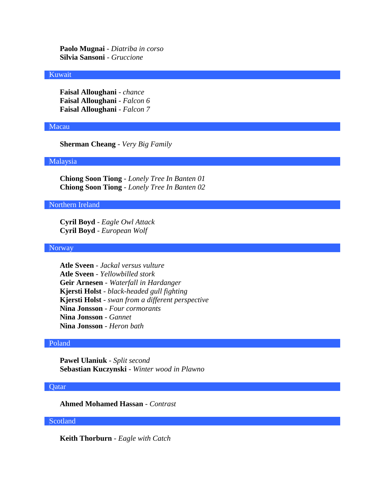**Paolo Mugnai** - *Diatriba in corso* **Silvia Sansoni** - *Gruccione*

# Kuwait

**Faisal Alloughani** - *chance* **Faisal Alloughani** - *Falcon 6* **Faisal Alloughani** - *Falcon 7*

# Macau

**Sherman Cheang** - *Very Big Family*

# Malaysia

**Chiong Soon Tiong** - *Lonely Tree In Banten 01* **Chiong Soon Tiong** - *Lonely Tree In Banten 02*

# Northern Ireland

**Cyril Boyd** - *Eagle Owl Attack* **Cyril Boyd** - *European Wolf*

# **Norway**

**Atle Sveen** - *Jackal versus vulture* **Atle Sveen** - *Yellowbilled stork* **Geir Arnesen** - *Waterfall in Hardanger* **Kjersti Holst** - *black-headed gull fighting* **Kjersti Holst** - *swan from a different perspective* **Nina Jonsson** - *Four cormorants* **Nina Jonsson** - *Gannet* **Nina Jonsson** - *Heron bath*

# Poland

**Pawel Ulaniuk** - *Split second* **Sebastian Kuczynski** - *Winter wood in Plawno*

# Qatar

**Ahmed Mohamed Hassan** - *Contrast*

# Scotland

**Keith Thorburn** - *Eagle with Catch*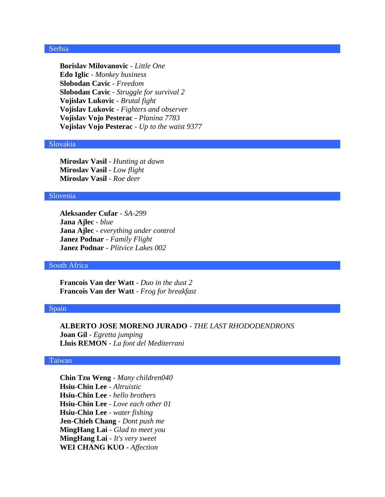# Serbia

**Borislav Milovanovic** - *Little One* **Edo Iglic** - *Monkey business* **Slobodan Cavic** - *Freedom* **Slobodan Cavic** - *Struggle for survival 2* **Vojislav Lukovic** - *Brutal fight* **Vojislav Lukovic** - *Fighters and observer* **Vojislav Vojo Pesterac** - *Planina 7783* **Vojislav Vojo Pesterac** - *Up to the waist 9377*

#### Slovakia

**Miroslav Vasil** - *Hunting at dawn* **Miroslav Vasil** - *Low flight* **Miroslav Vasil** - *Roe deer*

### Slovenia

**Aleksander Cufar** - *SA-299* **Jana Ajlec** - *blue* **Jana Ajlec** - *everything under control* **Janez Podnar** - *Family Flight* **Janez Podnar** - *Plitvice Lakes 002*

# South Africa

**Francois Van der Watt** - *Duo in the dust 2* **Francois Van der Watt** - *Frog for breakfast*

### Spain

**ALBERTO JOSE MORENO JURADO** - *THE LAST RHODODENDRONS* **Joan Gil** - *Egretta jumping* **Lluis REMON** - *La font del Mediterrani*

### Taiwan

**Chin Tzu Weng** - *Many children040* **Hsiu-Chin Lee** - *Altruistic* **Hsiu-Chin Lee** - *hello brothers* **Hsiu-Chin Lee** - *Love each other 01* **Hsiu-Chin Lee** - *water fishing* **Jen-Chieh Chang** - *Dont push me* **MingHang Lai** - *Glad to meet you* **MingHang Lai** - *It's very sweet* **WEI CHANG KUO** - *Affection*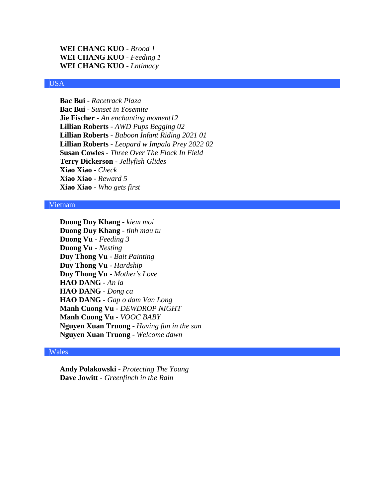```
WEI CHANG KUO - Brood 1
WEI CHANG KUO - Feeding 1
WEI CHANG KUO - Lntimacy
```
# USA

**Bac Bui** - *Racetrack Plaza* **Bac Bui** - *Sunset in Yosemite* **Jie Fischer** - *An enchanting moment12* **Lillian Roberts** - *AWD Pups Begging 02* **Lillian Roberts** - *Baboon Infant Riding 2021 01* **Lillian Roberts** - *Leopard w Impala Prey 2022 02* **Susan Cowles** - *Three Over The Flock In Field* **Terry Dickerson** - *Jellyfish Glides* **Xiao Xiao** - *Check* **Xiao Xiao** - *Reward 5* **Xiao Xiao** - *Who gets first*

# Vietnam

**Duong Duy Khang** - *kiem moi* **Duong Duy Khang** - *tinh mau tu* **Duong Vu** - *Feeding 3* **Duong Vu** - *Nesting* **Duy Thong Vu** - *Bait Painting* **Duy Thong Vu** - *Hardship* **Duy Thong Vu** - *Mother's Love* **HAO DANG** - *An la* **HAO DANG** - *Dong ca* **HAO DANG** - *Gap o dam Van Long* **Manh Cuong Vu** - *DEWDROP NIGHT* **Manh Cuong Vu** - *VOOC BABY* **Nguyen Xuan Truong** - *Having fun in the sun* **Nguyen Xuan Truong** - *Welcome dawn*

# Wales

**Andy Polakowski** - *Protecting The Young* **Dave Jowitt** - *Greenfinch in the Rain*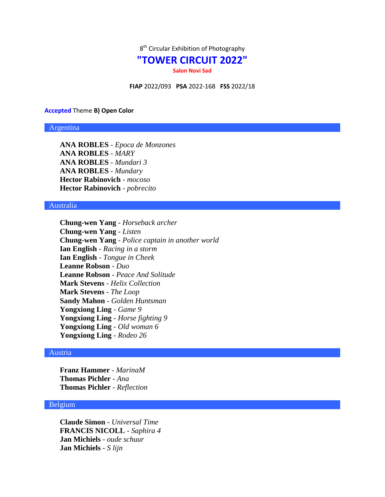

# **"TOWER CIRCUIT 2022"**

**Salon Novi Sad**

**FIAP** 2022/093 **PSA** 2022-168 **FSS** 2022/18

#### **Accepted** Theme **B) Open Color**

### Argentina

**ANA ROBLES** - *Epoca de Monzones* **ANA ROBLES** - *MARY* **ANA ROBLES** - *Mundari 3* **ANA ROBLES** - *Mundary* **Hector Rabinovich** - *mocoso* **Hector Rabinovich** - *pobrecito*

# Australia

**Chung-wen Yang** - *Horseback archer* **Chung-wen Yang** - *Listen* **Chung-wen Yang** - *Police captain in another world* **Ian English** - *Racing in a storm* **Ian English** - *Tongue in Cheek* **Leanne Robson** - *Duo* **Leanne Robson** - *Peace And Solitude* **Mark Stevens** - *Helix Collection* **Mark Stevens** - *The Loop* **Sandy Mahon** - *Golden Huntsman* **Yongxiong Ling** - *Game 9* **Yongxiong Ling** - *Horse fighting 9* **Yongxiong Ling** - *Old woman 6* **Yongxiong Ling** - *Rodeo 26*

#### Austria

**Franz Hammer** - *MarinaM* **Thomas Pichler** - *Ana* **Thomas Pichler** - *Reflection*

# Belgium

**Claude Simon** - *Universal Time* **FRANCIS NICOLL** - *Saphira 4* **Jan Michiels** - *oude schuur* **Jan Michiels** - *S lijn*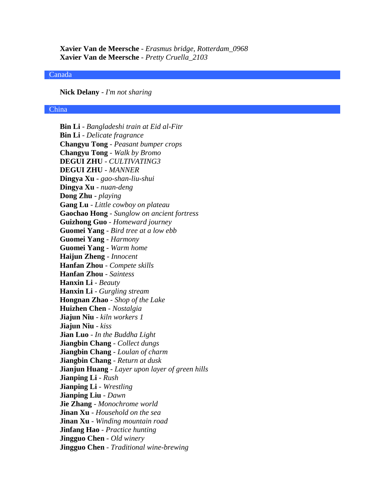**Xavier Van de Meersche** - *Erasmus bridge, Rotterdam\_0968* **Xavier Van de Meersche** - *Pretty Cruella\_2103*

#### Canada

**Nick Delany** - *I'm not sharing*

# China

**Bin Li** - *Bangladeshi train at Eid al-Fitr* **Bin Li** - *Delicate fragrance* **Changyu Tong** - *Peasant bumper crops* **Changyu Tong** - *Walk by Bromo* **DEGUI ZHU** - *CULTIVATING3* **DEGUI ZHU** - *MANNER* **Dingya Xu** - *gao-shan-liu-shui* **Dingya Xu** - *nuan-deng* **Dong Zhu** - *playing* **Gang Lu** - *Little cowboy on plateau* **Gaochao Hong** - *Sunglow on ancient fortress* **Guizhong Guo** - *Homeward journey* **Guomei Yang** - *Bird tree at a low ebb* **Guomei Yang** - *Harmony* **Guomei Yang** - *Warm home* **Haijun Zheng** - *Innocent* **Hanfan Zhou** - *Compete skills* **Hanfan Zhou** - *Saintess* **Hanxin Li** - *Beauty* **Hanxin Li** - *Gurgling stream* **Hongnan Zhao** - *Shop of the Lake* **Huizhen Chen** - *Nostalgia* **Jiajun Niu** - *kiln workers 1* **Jiajun Niu** - *kiss* **Jian Luo** - *In the Buddha Light* **Jiangbin Chang** - *Collect dungs* **Jiangbin Chang** - *Loulan of charm* **Jiangbin Chang** - *Return at dusk* **Jianjun Huang** - *Layer upon layer of green hills* **Jianping Li** - *Rush* **Jianping Li** - *Wrestling* **Jianping Liu** - *Dawn* **Jie Zhang** - *Monochrome world* **Jinan Xu** - *Household on the sea* **Jinan Xu** - *Winding mountain road* **Jinfang Hao** - *Practice hunting* **Jingguo Chen** - *Old winery* **Jingguo Chen** - *Traditional wine-brewing*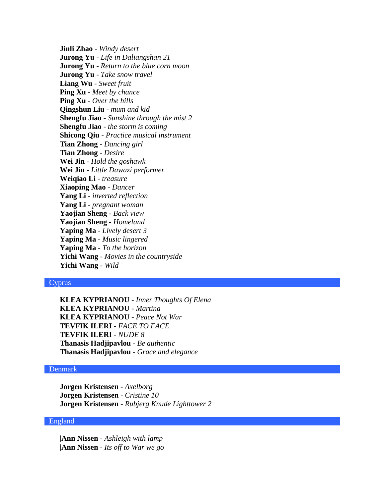**Jinli Zhao** - *Windy desert* **Jurong Yu** - *Life in Daliangshan 21* **Jurong Yu** - *Return to the blue corn moon* **Jurong Yu** - *Take snow travel* **Liang Wu** - *Sweet fruit* **Ping Xu** - *Meet by chance* **Ping Xu** - *Over the hills* **Qingshun Liu** - *mum and kid* **Shengfu Jiao** - *Sunshine through the mist 2* **Shengfu Jiao** - *the storm is coming* **Shicong Qiu** - *Practice musical instrument* **Tian Zhong** - *Dancing girl* **Tian Zhong** - *Desire* **Wei Jin** - *Hold the goshawk* **Wei Jin** - *Little Dawazi performer* **Weiqiao Li** - *treasure* **Xiaoping Mao** - *Dancer* **Yang Li** - *inverted reflection* **Yang Li** - *pregnant woman* **Yaojian Sheng** - *Back view* **Yaojian Sheng** - *Homeland* **Yaping Ma** - *Lively desert 3* **Yaping Ma** - *Music lingered* **Yaping Ma** - *To the horizon* **Yichi Wang** - *Movies in the countryside* **Yichi Wang** - *Wild*

# Cyprus

**KLEA KYPRIANOU** - *Inner Thoughts Of Elena* **KLEA KYPRIANOU** - *Martina* **KLEA KYPRIANOU** - *Peace Not War* **TEVFIK ILERI** - *FACE TO FACE* **TEVFIK ILERI** - *NUDE 8* **Thanasis Hadjipavlou** - *Be authentic* **Thanasis Hadjipavlou** - *Grace and elegance*

# Denmark

**Jorgen Kristensen** - *Axelborg* **Jorgen Kristensen** - *Cristine 10* **Jorgen Kristensen** - *Rubjerg Knude Lighttower 2*

# England

**|Ann Nissen** - *Ashleigh with lamp* **|Ann Nissen** - *Its off to War we go*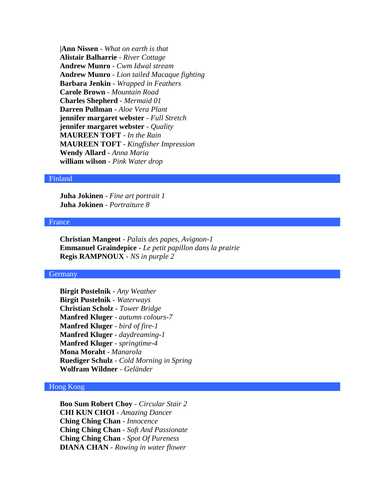**|Ann Nissen** - *What on earth is that* **Alistair Balharrie** - *River Cottage* **Andrew Munro** - *Cwm Idwal stream* **Andrew Munro** - *Lion tailed Macaque fighting* **Barbara Jenkin** - *Wrapped in Feathers* **Carole Brown** - *Mountain Road* **Charles Shepherd** - *Mermaid 01* **Darren Pullman** - *Aloe Vera Plant* **jennifer margaret webster** - *Full Stretch* **jennifer margaret webster** - *Quality* **MAUREEN TOFT** - *In the Rain* **MAUREEN TOFT** - *Kingfisher Impression* **Wendy Allard** - *Anna Maria* **william wilson** - *Pink Water drop*

### Finland

**Juha Jokinen** - *Fine art portrait 1* **Juha Jokinen** - *Portraiture 8*

# France

**Christian Mangeot** - *Palais des papes, Avignon-1* **Emmanuel Graindepice** - *Le petit papillon dans la prairie* **Regis RAMPNOUX** - *NS in purple 2*

# **Germany**

**Birgit Pustelnik** - *Any Weather* **Birgit Pustelnik** - *Waterways* **Christian Scholz** - *Tower Bridge* **Manfred Kluger** - *autumn colours-7* **Manfred Kluger** - *bird of fire-1* **Manfred Kluger** - *daydreaming-1* **Manfred Kluger** - *springtime-4* **Mona Moraht** - *Manarola* **Ruediger Schulz** - *Cold Morning in Spring* **Wolfram Wildner** - *Geländer*

# Hong Kong

**Boo Sum Robert Choy** - *Circular Stair 2* **CHI KUN CHOI** - *Amazing Dancer* **Ching Ching Chan** - *Innocence* **Ching Ching Chan** - *Soft And Passionate* **Ching Ching Chan** - *Spot Of Pureness* **DIANA CHAN** - *Rowing in water flower*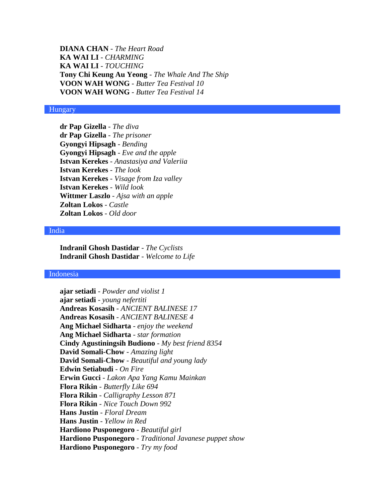**DIANA CHAN** - *The Heart Road* **KA WAI LI** - *CHARMING* **KA WAI LI** - *TOUCHING* **Tony Chi Keung Au Yeong** - *The Whale And The Ship* **VOON WAH WONG** - *Butter Tea Festival 10* **VOON WAH WONG** - *Butter Tea Festival 14*

### Hungary

**dr Pap Gizella** - *The diva* **dr Pap Gizella** - *The prisoner* **Gyongyi Hipsagh** - *Bending* **Gyongyi Hipsagh** - *Eve and the apple* **Istvan Kerekes** - *Anastasiya and Valeriia* **Istvan Kerekes** - *The look* **Istvan Kerekes** - *Visage from Iza valley* **Istvan Kerekes** - *Wild look* **Wittmer Laszlo** - *Ajsa with an apple* **Zoltan Lokos** - *Castle* **Zoltan Lokos** - *Old door*

#### India

**Indranil Ghosh Dastidar** - *The Cyclists* **Indranil Ghosh Dastidar** - *Welcome to Life*

# Indonesia

**ajar setiadi** - *Powder and violist 1* **ajar setiadi** - *young nefertiti* **Andreas Kosasih** - *ANCIENT BALINESE 17* **Andreas Kosasih** - *ANCIENT BALINESE 4* **Ang Michael Sidharta** - *enjoy the weekend* **Ang Michael Sidharta** - *star formation* **Cindy Agustiningsih Budiono** - *My best friend 8354* **David Somali-Chow** - *Amazing light* **David Somali-Chow** - *Beautiful and young lady* **Edwin Setiabudi** - *On Fire* **Erwin Gucci** - *Lakon Apa Yang Kamu Mainkan* **Flora Rikin** - *Butterfly Like 694* **Flora Rikin** - *Calligraphy Lesson 871* **Flora Rikin** - *Nice Touch Down 992* **Hans Justin** - *Floral Dream* **Hans Justin** - *Yellow in Red* **Hardiono Pusponegoro** - *Beautiful girl* **Hardiono Pusponegoro** - *Traditional Javanese puppet show* **Hardiono Pusponegoro** - *Try my food*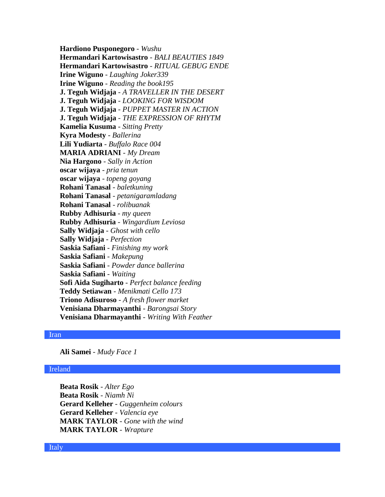**Hardiono Pusponegoro** - *Wushu* **Hermandari Kartowisastro** - *BALI BEAUTIES 1849* **Hermandari Kartowisastro** - *RITUAL GEBUG ENDE* **Irine Wiguno** - *Laughing Joker339* **Irine Wiguno** - *Reading the book195* **J. Teguh Widjaja** - *A TRAVELLER IN THE DESERT* **J. Teguh Widjaja** - *LOOKING FOR WISDOM* **J. Teguh Widjaja** - *PUPPET MASTER IN ACTION* **J. Teguh Widjaja** - *THE EXPRESSION OF RHYTM* **Kamelia Kusuma** - *Sitting Pretty* **Kyra Modesty** - *Ballerina* **Lili Yudiarta** - *Buffalo Race 004* **MARIA ADRIANI** - *My Dream* **Nia Hargono** - *Sally in Action* **oscar wijaya** - *pria tenun* **oscar wijaya** - *topeng goyang* **Rohani Tanasal** - *baletkuning* **Rohani Tanasal** - *petanigaramladang* **Rohani Tanasal** - *rolibuanak* **Rubby Adhisuria** - *my queen* **Rubby Adhisuria** - *Wingardium Leviosa* **Sally Widjaja** - *Ghost with cello* **Sally Widjaja** - *Perfection* **Saskia Safiani** - *Finishing my work* **Saskia Safiani** - *Makepung* **Saskia Safiani** - *Powder dance ballerina* **Saskia Safiani** - *Waiting* **Sofi Aida Sugiharto** - *Perfect balance feeding* **Teddy Setiawan** - *Menikmati Cello 173* **Triono Adisuroso** - *A fresh flower market* **Venisiana Dharmayanthi** - *Barongsai Story* **Venisiana Dharmayanthi** - *Writing With Feather*

# Iran

**Ali Samei** - *Mudy Face 1*

### Ireland

**Beata Rosik** - *Alter Ego* **Beata Rosik** - *Niamh Ni* **Gerard Kelleher** - *Guggenheim colours* **Gerard Kelleher** - *Valencia eye* **MARK TAYLOR** - *Gone with the wind* **MARK TAYLOR** - *Wrapture*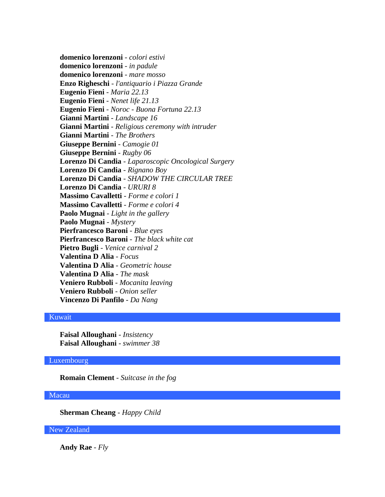**domenico lorenzoni** - *colori estivi* **domenico lorenzoni** - *in padule* **domenico lorenzoni** - *mare mosso* **Enzo Righeschi** - *l'antiquario i Piazza Grande* **Eugenio Fieni** - *Maria 22.13* **Eugenio Fieni** - *Nenet life 21.13* **Eugenio Fieni** - *Noroc - Buona Fortuna 22.13* **Gianni Martini** - *Landscape 16* **Gianni Martini** - *Religious ceremony with intruder* **Gianni Martini** - *The Brothers* **Giuseppe Bernini** - *Camogie 01* **Giuseppe Bernini** - *Rugby 06* **Lorenzo Di Candia** - *Laparoscopic Oncological Surgery* **Lorenzo Di Candia** - *Rignano Boy* **Lorenzo Di Candia** - *SHADOW THE CIRCULAR TREE* **Lorenzo Di Candia** - *URURI 8* **Massimo Cavalletti** - *Forme e colori 1* **Massimo Cavalletti** - *Forme e colori 4* **Paolo Mugnai** - *Light in the gallery* **Paolo Mugnai** - *Mystery* **Pierfrancesco Baroni** - *Blue eyes* **Pierfrancesco Baroni** - *The black white cat* **Pietro Bugli** - *Venice carnival 2* **Valentina D Alia** - *Focus* **Valentina D Alia** - *Geometric house* **Valentina D Alia** - *The mask* **Veniero Rubboli** - *Mocanita leaving* **Veniero Rubboli** - *Onion seller* **Vincenzo Di Panfilo** - *Da Nang*

# Kuwait

**Faisal Alloughani** - *Insistency* **Faisal Alloughani** - *swimmer 38*

### Luxembourg

**Romain Clement** - *Suitcase in the fog*

# Macau

**Sherman Cheang** - *Happy Child*

# New Zealand

**Andy Rae** - *Fly*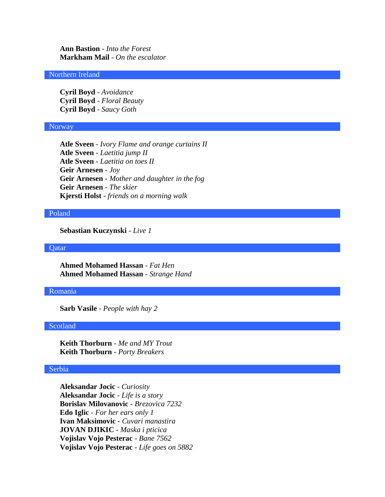**Ann Bastion** - *Into the Forest* **Markham Mail** - *On the escalator*

# Northern Ireland

**Cyril Boyd** - *Avoidance* **Cyril Boyd** - *Floral Beauty* **Cyril Boyd** - *Saucy Goth*

#### Norway

**Atle Sveen** - *Ivory Flame and orange curtains II* **Atle Sveen** - *Laetitia jump II* **Atle Sveen** - *Laetitia on toes II* **Geir Arnesen** - *Joy* **Geir Arnesen** - *Mother and daughter in the fog* **Geir Arnesen** - *The skier* **Kjersti Holst** - *friends on a morning walk*

#### Poland

**Sebastian Kuczynski** - *Live 1*

**Qatar** 

**Ahmed Mohamed Hassan** - *Fat Hen* **Ahmed Mohamed Hassan** - *Strange Hand*

#### Romania

**Sarb Vasile** - *People with hay 2*

# Scotland

**Keith Thorburn** - *Me and MY Trout* **Keith Thorburn** - *Porty Breakers*

### Serbia

**Aleksandar Jocic** - *Curiosity* **Aleksandar Jocic** - *Life is a story* **Borislav Milovanovic** - *Brezovica 7232* **Edo Iglic** - *For her ears only 1* **Ivan Maksimovic** - *Cuvari manastira* **JOVAN DJIKIC** - *Maska i pticica* **Vojislav Vojo Pesterac** - *Bane 7562* **Vojislav Vojo Pesterac** - *Life goes on 5882*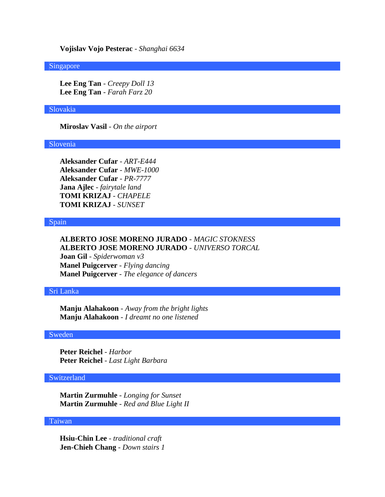**Vojislav Vojo Pesterac** - *Shanghai 6634*

#### Singapore

**Lee Eng Tan** - *Creepy Doll 13* **Lee Eng Tan** - *Farah Farz 20*

# Slovakia

**Miroslav Vasil** - *On the airport*

#### Slovenia

**Aleksander Cufar** - *ART-E444* **Aleksander Cufar** - *MWE-1000* **Aleksander Cufar** - *PR-7777* **Jana Ajlec** - *fairytale land* **TOMI KRIZAJ** - *CHAPELE* **TOMI KRIZAJ** - *SUNSET*

### Spain

# **ALBERTO JOSE MORENO JURADO** - *MAGIC STOKNESS* **ALBERTO JOSE MORENO JURADO** - *UNIVERSO TORCAL*

**Joan Gil** - *Spiderwoman v3* **Manel Puigcerver** - *Flying dancing* **Manel Puigcerver** - *The elegance of dancers*

# Sri Lanka

**Manju Alahakoon** - *Away from the bright lights* **Manju Alahakoon** - *I dreamt no one listened*

### Sweden

**Peter Reichel** - *Harbor* **Peter Reichel** - *Last Light Barbara*

# **Switzerland**

**Martin Zurmuhle** - *Longing for Sunset* **Martin Zurmuhle** - *Red and Blue Light II*

# Taiwan

**Hsiu-Chin Lee** - *traditional craft* **Jen-Chieh Chang** - *Down stairs 1*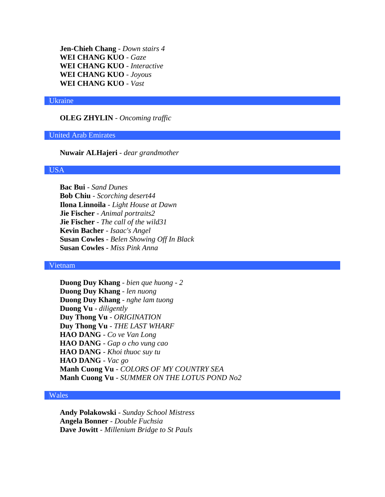**Jen-Chieh Chang** - *Down stairs 4* **WEI CHANG KUO** - *Gaze* **WEI CHANG KUO** - *Interactive* **WEI CHANG KUO** - *Joyous* **WEI CHANG KUO** - *Vast*

#### Ukraine

**OLEG ZHYLIN** - *Oncoming traffic*

### United Arab Emirates

**Nuwair ALHajeri** - *dear grandmother*

### USA

**Bac Bui** - *Sand Dunes* **Bob Chiu** - *Scorching desert44* **Ilona Linnoila** - *Light House at Dawn* **Jie Fischer** - *Animal portraits2* **Jie Fischer** - *The call of the wild31* **Kevin Bacher** - *Isaac's Angel* **Susan Cowles** - *Belen Showing Off In Black* **Susan Cowles** - *Miss Pink Anna*

# Vietnam

**Duong Duy Khang** - *bien que huong - 2* **Duong Duy Khang** - *len nuong* **Duong Duy Khang** - *nghe lam tuong* **Duong Vu** - *diligently* **Duy Thong Vu** - *ORIGINATION* **Duy Thong Vu** - *THE LAST WHARF* **HAO DANG** - *Co ve Van Long* **HAO DANG** - *Gap o cho vung cao* **HAO DANG** - *Khoi thuoc suy tu* **HAO DANG** - *Vac go* **Manh Cuong Vu** - *COLORS OF MY COUNTRY SEA* **Manh Cuong Vu** - *SUMMER ON THE LOTUS POND No2*

# Wales

**Andy Polakowski** - *Sunday School Mistress* **Angela Bonner** - *Double Fuchsia* **Dave Jowitt** - *Millenium Bridge to St Pauls*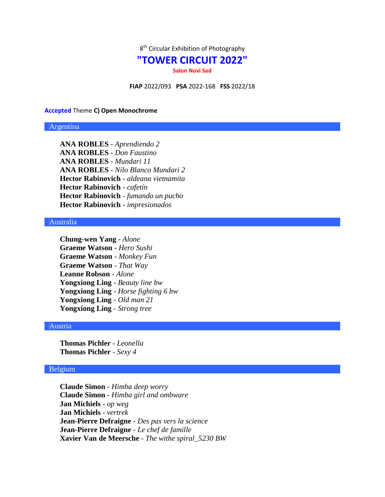

# **"TOWER CIRCUIT 2022"**

**Salon Novi Sad**

**FIAP** 2022/093 **PSA** 2022-168 **FSS** 2022/18

#### **Accepted** Theme **C) Open Monochrome**

### Argentina

**ANA ROBLES** - *Aprendiendo 2* **ANA ROBLES** - *Don Faustino* **ANA ROBLES** - *Mundari 11* **ANA ROBLES** - *Nilo Blanco Mundari 2* **Hector Rabinovich** - *aldeana vietnamita* **Hector Rabinovich** - *cafetín* **Hector Rabinovich** - *fumando un pucho* **Hector Rabinovich** - *impresionados*

# Australia

**Chung-wen Yang** - *Alone* **Graeme Watson** - *Hero Sushi* **Graeme Watson** - *Monkey Fun* **Graeme Watson** - *That Way* **Leanne Robson** - *Alone* **Yongxiong Ling** - *Beauty line bw* **Yongxiong Ling** - *Horse fighting 6 bw* **Yongxiong Ling** - *Old man 21* **Yongxiong Ling** - *Strong tree*

# Austria

**Thomas Pichler** - *Leonella* **Thomas Pichler** - *Sexy 4*

# Belgium

**Claude Simon** - *Himba deep worry* **Claude Simon** - *Himba girl and ombware* **Jan Michiels** - *op weg* **Jan Michiels** - *vertrek* **Jean-Pierre Defraigne** - *Des pas vers la science* **Jean-Pierre Defraigne** - *Le chef de famille* **Xavier Van de Meersche** - *The withe spiral\_5230 BW*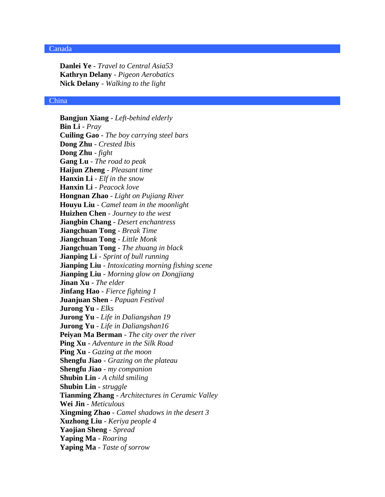# Canada

**Danlei Ye** - *Travel to Central Asia53* **Kathryn Delany** - *Pigeon Aerobatics* **Nick Delany** - *Walking to the light*

#### China

**Bangjun Xiang** - *Left-behind elderly* **Bin Li** - *Pray* **Cuiling Gao** - *The boy carrying steel bars* **Dong Zhu** - *Crested Ibis* **Dong Zhu** - *fight* **Gang Lu** - *The road to peak* **Haijun Zheng** - *Pleasant time* **Hanxin Li** - *Elf in the snow* **Hanxin Li** - *Peacock love* **Hongnan Zhao** - *Light on Pujiang River* **Houyu Liu** - *Camel team in the moonlight* **Huizhen Chen** - *Journey to the west* **Jiangbin Chang** - *Desert enchantress* **Jiangchuan Tong** - *Break Time* **Jiangchuan Tong** - *Little Monk* **Jiangchuan Tong** - *The zhuang in black* **Jianping Li** - *Sprint of bull running* **Jianping Liu** - *Intoxicating morning fishing scene* **Jianping Liu** - *Morning glow on Dongjiang* **Jinan Xu** - *The elder* **Jinfang Hao** - *Fierce fighting 1* **Juanjuan Shen** - *Papuan Festival* **Jurong Yu** - *Elks* **Jurong Yu** - *Life in Daliangshan 19* **Jurong Yu** - *Life in Daliangshan16* **Peiyan Ma Berman** - *The city over the river* **Ping Xu** - *Adventure in the Silk Road* **Ping Xu** - *Gazing at the moon* **Shengfu Jiao** - *Grazing on the plateau* **Shengfu Jiao** - *my companion* **Shubin Lin** - *A child smiling* **Shubin Lin** - *struggle* **Tianming Zhang** - *Architectures in Ceramic Valley* **Wei Jin** - *Meticulous* **Xingming Zhao** - *Camel shadows in the desert 3* **Xuzhong Liu** - *Keriya people 4* **Yaojian Sheng** - *Spread* **Yaping Ma** - *Roaring* **Yaping Ma** - *Taste of sorrow*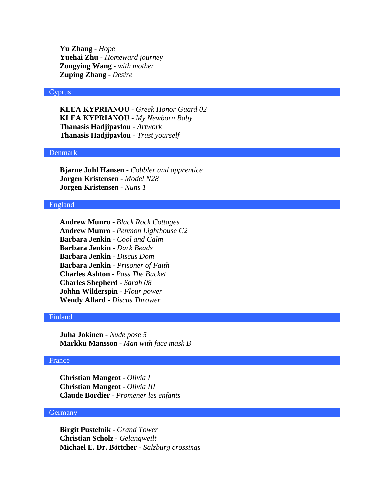**Yu Zhang** - *Hope* **Yuehai Zhu** - *Homeward journey* **Zongying Wang** - *with mother* **Zuping Zhang** - *Desire*

# Cyprus

**KLEA KYPRIANOU** - *Greek Honor Guard 02* **KLEA KYPRIANOU** - *My Newborn Baby* **Thanasis Hadjipavlou** - *Artwork* **Thanasis Hadjipavlou** - *Trust yourself*

# Denmark

**Bjarne Juhl Hansen** - *Cobbler and apprentice* **Jorgen Kristensen** - *Model N28* **Jorgen Kristensen** - *Nuns 1*

# England

**Andrew Munro** - *Black Rock Cottages* **Andrew Munro** - *Penmon Lighthouse C2* **Barbara Jenkin** - *Cool and Calm* **Barbara Jenkin** - *Dark Beads* **Barbara Jenkin** - *Discus Dom* **Barbara Jenkin** - *Prisoner of Faith* **Charles Ashton** - *Pass The Bucket* **Charles Shepherd** - *Sarah 08* **Johhn Wilderspin** - *Flour power* **Wendy Allard** - *Discus Thrower*

# Finland

**Juha Jokinen** - *Nude pose 5* **Markku Mansson** - *Man with face mask B*

# France

**Christian Mangeot** - *Olivia I* **Christian Mangeot** - *Olivia III* **Claude Bordier** - *Promener les enfants*

# **Germany**

**Birgit Pustelnik** - *Grand Tower* **Christian Scholz** - *Gelangweilt* **Michael E. Dr. Böttcher** - *Salzburg crossings*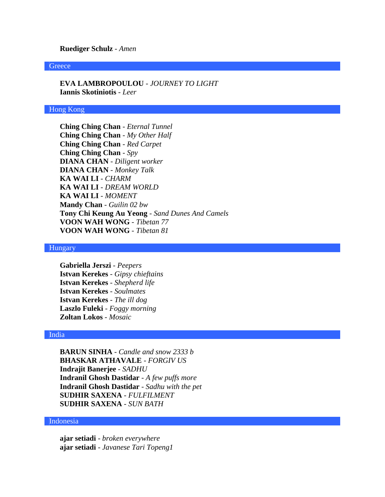#### **Ruediger Schulz** - *Amen*

#### **Greece**

**EVA LAMBROPOULOU** - *JOURNEY TO LIGHT* **Iannis Skotiniotis** - *Leer*

# Hong Kong

**Ching Ching Chan** - *Eternal Tunnel* **Ching Ching Chan** - *My Other Half* **Ching Ching Chan** - *Red Carpet* **Ching Ching Chan** - *Spy* **DIANA CHAN** - *Diligent worker* **DIANA CHAN** - *Monkey Talk* **KA WAI LI** - *CHARM* **KA WAI LI** - *DREAM WORLD* **KA WAI LI** - *MOMENT* **Mandy Chan** - *Guilin 02 bw* **Tony Chi Keung Au Yeong** - *Sand Dunes And Camels* **VOON WAH WONG** - *Tibetan 77* **VOON WAH WONG** - *Tibetan 81*

# Hungary

**Gabriella Jerszi** - *Peepers* **Istvan Kerekes** - *Gipsy chieftains* **Istvan Kerekes** - *Shepherd life* **Istvan Kerekes** - *Soulmates* **Istvan Kerekes** - *The ill dog* **Laszlo Fuleki** - *Foggy morning* **Zoltan Lokos** - *Mosaic*

# India

**BARUN SINHA** - *Candle and snow 2333 b* **BHASKAR ATHAVALE** - *FORGIV US* **Indrajit Banerjee** - *SADHU* **Indranil Ghosh Dastidar** - *A few puffs more* **Indranil Ghosh Dastidar** - *Sadhu with the pet* **SUDHIR SAXENA** - *FULFILMENT* **SUDHIR SAXENA** - *SUN BATH*

# Indonesia

**ajar setiadi** - *broken everywhere* **ajar setiadi** - *Javanese Tari Topeng1*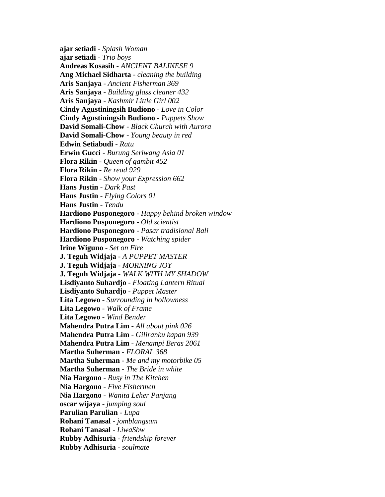**ajar setiadi** - *Splash Woman* **ajar setiadi** - *Trio boys* **Andreas Kosasih** - *ANCIENT BALINESE 9* **Ang Michael Sidharta** - *cleaning the building* **Aris Sanjaya** - *Ancient Fisherman 369* **Aris Sanjaya** - *Building glass cleaner 432* **Aris Sanjaya** - *Kashmir Little Girl 002* **Cindy Agustiningsih Budiono** - *Love in Color* **Cindy Agustiningsih Budiono** - *Puppets Show* **David Somali-Chow** - *Black Church with Aurora* **David Somali-Chow** - *Young beauty in red* **Edwin Setiabudi** - *Ratu* **Erwin Gucci** - *Burung Seriwang Asia 01* **Flora Rikin** - *Queen of gambit 452* **Flora Rikin** - *Re read 929* **Flora Rikin** - *Show your Expression 662* **Hans Justin** - *Dark Past* **Hans Justin** - *Flying Colors 01* **Hans Justin** - *Tendu* **Hardiono Pusponegoro** - *Happy behind broken window* **Hardiono Pusponegoro** - *Old scientist* **Hardiono Pusponegoro** - *Pasar tradisional Bali* **Hardiono Pusponegoro** - *Watching spider* **Irine Wiguno** - *Set on Fire* **J. Teguh Widjaja** - *A PUPPET MASTER* **J. Teguh Widjaja** - *MORNING JOY* **J. Teguh Widjaja** - *WALK WITH MY SHADOW* **Lisdiyanto Suhardjo** - *Floating Lantern Ritual* **Lisdiyanto Suhardjo** - *Puppet Master* **Lita Legowo** - *Surrounding in hollowness* **Lita Legowo** - *Walk of Frame* **Lita Legowo** - *Wind Bender* **Mahendra Putra Lim** - *All about pink 026* **Mahendra Putra Lim** - *Giliranku kapan 939* **Mahendra Putra Lim** - *Menampi Beras 2061* **Martha Suherman** - *FLORAL 368* **Martha Suherman** - *Me and my motorbike 05* **Martha Suherman** - *The Bride in white* **Nia Hargono** - *Busy in The Kitchen* **Nia Hargono** - *Five Fishermen* **Nia Hargono** - *Wanita Leher Panjang* **oscar wijaya** - *jumping soul* **Parulian Parulian** - *Lupa* **Rohani Tanasal** - *jomblangsam* **Rohani Tanasal** - *LiwaSbw* **Rubby Adhisuria** - *friendship forever* **Rubby Adhisuria** - *soulmate*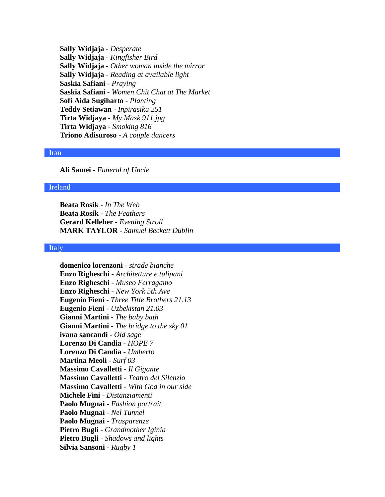**Sally Widjaja** - *Desperate* **Sally Widjaja** - *Kingfisher Bird* **Sally Widjaja** - *Other woman inside the mirror* **Sally Widjaja** - *Reading at available light* **Saskia Safiani** - *Praying* **Saskia Safiani** - *Women Chit Chat at The Market* **Sofi Aida Sugiharto** - *Planting* **Teddy Setiawan** - *Inpirasiku 251* **Tirta Widjaya** - *My Mask 911.jpg* **Tirta Widjaya** - *Smoking 816* **Triono Adisuroso** - *A couple dancers*

### Iran

**Ali Samei** - *Funeral of Uncle*

### Ireland

**Beata Rosik** - *In The Web* **Beata Rosik** - *The Feathers* **Gerard Kelleher** - *Evening Stroll* **MARK TAYLOR** - *Samuel Beckett Dublin*

### Italy

**domenico lorenzoni** - *strade bianche* **Enzo Righeschi** - *Architetture e tulipani* **Enzo Righeschi** - *Museo Ferragamo* **Enzo Righeschi** - *New York 5th Ave* **Eugenio Fieni** - *Three Title Brothers 21.13* **Eugenio Fieni** - *Uzbekistan 21.03* **Gianni Martini** - *The baby bath* **Gianni Martini** - *The bridge to the sky 01* **ivana sancandi** - *Old sage* **Lorenzo Di Candia** - *HOPE 7* **Lorenzo Di Candia** - *Umberto* **Martina Meoli** - *Surf 03* **Massimo Cavalletti** - *Il Gigante* **Massimo Cavalletti** - *Teatro del Silenzio* **Massimo Cavalletti** - *With God in our side* **Michele Fini** - *Distanziamenti* **Paolo Mugnai** - *Fashion portrait* **Paolo Mugnai** - *Nel Tunnel* **Paolo Mugnai** - *Trasparenze* **Pietro Bugli** - *Grandmother Iginia* **Pietro Bugli** - *Shadows and lights* **Silvia Sansoni** - *Rugby 1*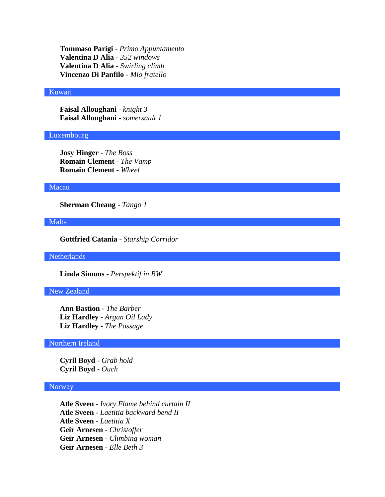**Tommaso Parigi** - *Primo Appuntamento* **Valentina D Alia** - *352 windows* **Valentina D Alia** - *Swirling climb* **Vincenzo Di Panfilo** - *Mio fratello*

### Kuwait

**Faisal Alloughani** - *knight 3* **Faisal Alloughani** - *somersault 1*

### Luxembourg

**Josy Hinger** - *The Boss* **Romain Clement** - *The Vamp* **Romain Clement** - *Wheel*

### Macau

**Sherman Cheang** - *Tango 1*

### Malta

**Gottfried Catania** - *Starship Corridor*

**Netherlands** 

**Linda Simons** - *Perspektif in BW*

# New Zealand

**Ann Bastion** - *The Barber* **Liz Hardley** - *Argan Oil Lady* **Liz Hardley** - *The Passage*

# Northern Ireland

**Cyril Boyd** - *Grab hold* **Cyril Boyd** - *Ouch*

# Norway

**Atle Sveen** - *Ivory Flame behind curtain II* **Atle Sveen** - *Laetitia backward bend II* **Atle Sveen** - *Laetitia X* **Geir Arnesen** - *Christoffer* **Geir Arnesen** - *Climbing woman* **Geir Arnesen** - *Elle Beth 3*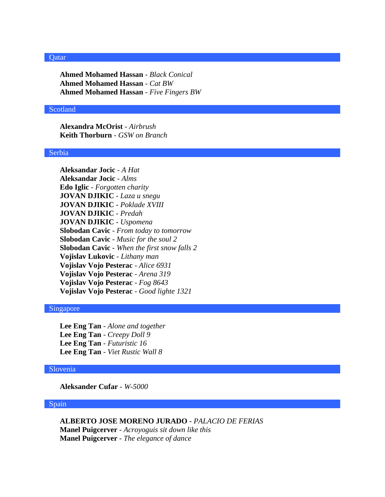### **Qatar**

**Ahmed Mohamed Hassan** - *Black Conical* **Ahmed Mohamed Hassan** - *Cat BW* **Ahmed Mohamed Hassan** - *Five Fingers BW*

# Scotland

**Alexandra McOrist** - *Airbrush* **Keith Thorburn** - *GSW on Branch*

### Serbia

**Aleksandar Jocic** - *A Hat* **Aleksandar Jocic** - *Alms* **Edo Iglic** - *Forgotten charity* **JOVAN DJIKIC** - *Laza u snegu* **JOVAN DJIKIC** - *Poklade XVIII* **JOVAN DJIKIC** - *Predah* **JOVAN DJIKIC** - *Uspomena* **Slobodan Cavic** - *From today to tomorrow* **Slobodan Cavic** - *Music for the soul 2* **Slobodan Cavic** - *When the first snow falls 2* **Vojislav Lukovic** - *Lithany man* **Vojislav Vojo Pesterac** - *Alice 6931* **Vojislav Vojo Pesterac** - *Arena 319* **Vojislav Vojo Pesterac** - *Fog 8643* **Vojislav Vojo Pesterac** - *Good lighte 1321*

# Singapore

**Lee Eng Tan** - *Alone and together* **Lee Eng Tan** - *Creepy Doll 9* **Lee Eng Tan** - *Futuristic 16* **Lee Eng Tan** - *Viet Rustic Wall 8*

### Slovenia

**Aleksander Cufar** - *W-5000*

# Spain

**ALBERTO JOSE MORENO JURADO** - *PALACIO DE FERIAS* **Manel Puigcerver** - *Acroyoguis sit down like this* **Manel Puigcerver** - *The elegance of dance*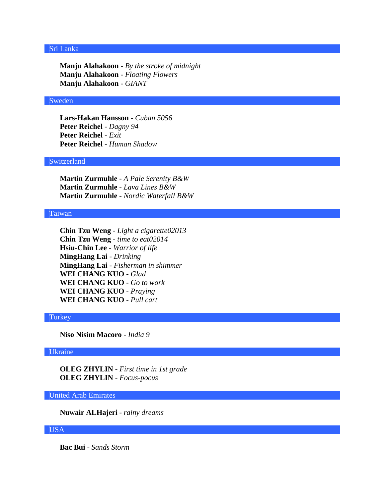# Sri Lanka

**Manju Alahakoon** - *By the stroke of midnight* **Manju Alahakoon** - *Floating Flowers* **Manju Alahakoon** - *GIANT*

#### Sweden

**Lars-Hakan Hansson** - *Cuban 5056* **Peter Reichel** - *Dagny 94* **Peter Reichel** - *Exit* **Peter Reichel** - *Human Shadow*

# Switzerland

**Martin Zurmuhle** - *A Pale Serenity B&W* **Martin Zurmuhle** - *Lava Lines B&W* **Martin Zurmuhle** - *Nordic Waterfall B&W*

#### Taiwan

**Chin Tzu Weng** - *Light a cigarette02013* **Chin Tzu Weng** - *time to eat02014* **Hsiu-Chin Lee** - *Warrior of life* **MingHang Lai** - *Drinking* **MingHang Lai** - *Fisherman in shimmer* **WEI CHANG KUO** - *Glad* **WEI CHANG KUO** - *Go to work* **WEI CHANG KUO** - *Praying* **WEI CHANG KUO** - *Pull cart*

# **Turkey**

**Niso Nisim Macoro** - *India 9*

### Ukraine

**OLEG ZHYLIN** - *First time in 1st grade* **OLEG ZHYLIN** - *Focus-pocus*

# United Arab Emirates

**Nuwair ALHajeri** - *rainy dreams*

# USA

**Bac Bui** - *Sands Storm*